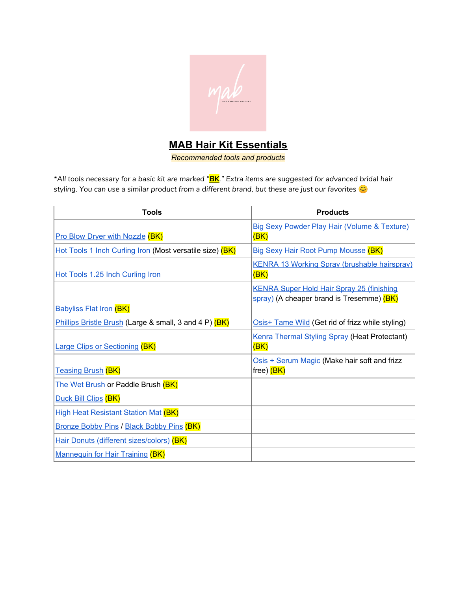

## **MAB Hair Kit Essentials**

*Recommended tools and products*

\*All tools necessary for a basic kit are marked "<mark>BK</mark>." Extra items are suggested for advanced bridal hair *styling. You can use a similar product from a different brand, but these are just our favorites*

| <b>Tools</b>                                             | <b>Products</b>                                         |
|----------------------------------------------------------|---------------------------------------------------------|
|                                                          | <b>Big Sexy Powder Play Hair (Volume &amp; Texture)</b> |
| <b>Pro Blow Dryer with Nozzle (BK)</b>                   | (BK)                                                    |
| Hot Tools 1 Inch Curling Iron (Most versatile size) (BK) | <b>Big Sexy Hair Root Pump Mousse (BK)</b>              |
|                                                          | <b>KENRA 13 Working Spray (brushable hairspray)</b>     |
| Hot Tools 1.25 Inch Curling Iron                         | (BK)                                                    |
|                                                          | <b>KENRA Super Hold Hair Spray 25 (finishing</b>        |
|                                                          | spray) (A cheaper brand is Tresemme) (BK)               |
| <b>Babyliss Flat Iron (BK)</b>                           |                                                         |
| Phillips Bristle Brush (Large & small, 3 and 4 P) (BK)   | Osis+ Tame Wild (Get rid of frizz while styling)        |
|                                                          | <b>Kenra Thermal Styling Spray (Heat Protectant)</b>    |
| <b>Large Clips or Sectioning (BK)</b>                    | (BK)                                                    |
|                                                          | Osis + Serum Magic (Make hair soft and frizz            |
| <b>Teasing Brush (BK)</b>                                | free) <mark>(BK)</mark>                                 |
| The Wet Brush or Paddle Brush (BK)                       |                                                         |
| Duck Bill Clips (BK)                                     |                                                         |
| <b>High Heat Resistant Station Mat (BK)</b>              |                                                         |
| <b>Bronze Bobby Pins / Black Bobby Pins (BK)</b>         |                                                         |
| Hair Donuts (different sizes/colors) (BK)                |                                                         |
| <b>Mannequin for Hair Training (BK)</b>                  |                                                         |